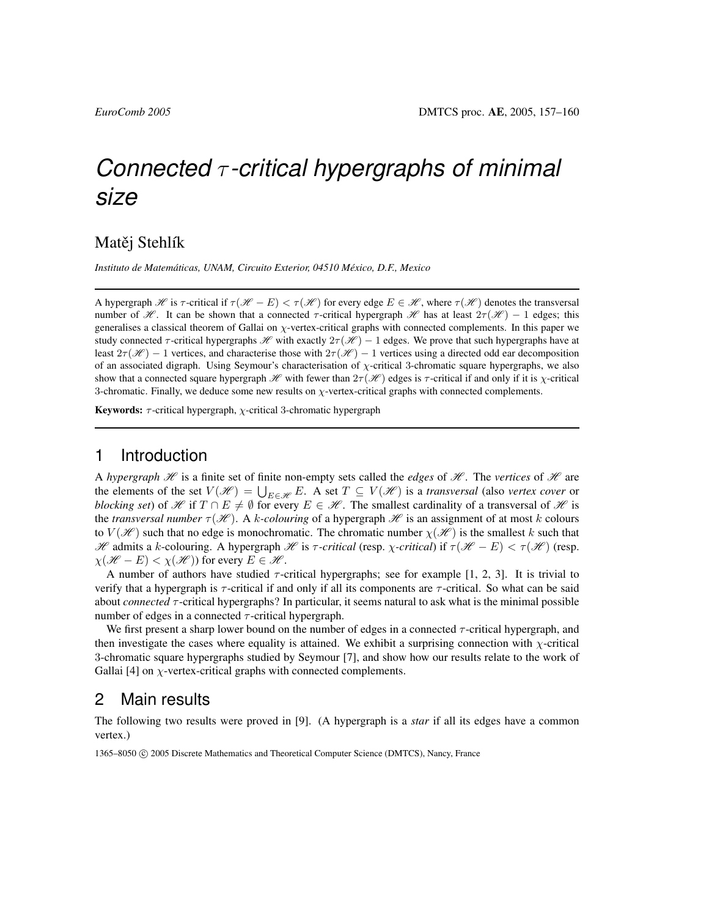# *Connected* τ *-critical hypergraphs of minimal size*

### Matěj Stehlík

*Instituto de Matematicas, UNAM, Circuito Exterior, 04510 M ´ exico, D.F., Mexico ´*

A hypergraph H is  $\tau$ -critical if  $\tau(\mathcal{H} - E) < \tau(\mathcal{H})$  for every edge  $E \in \mathcal{H}$ , where  $\tau(\mathcal{H})$  denotes the transversal number of H. It can be shown that a connected  $\tau$ -critical hypergraph H has at least  $2\tau(\mathcal{H}) - 1$  edges; this generalises a classical theorem of Gallai on χ-vertex-critical graphs with connected complements. In this paper we study connected  $\tau$ -critical hypergraphs  $\mathcal{H}$  with exactly  $2\tau(\mathcal{H}) - 1$  edges. We prove that such hypergraphs have at least  $2\tau(\mathcal{H}) - 1$  vertices, and characterise those with  $2\tau(\mathcal{H}) - 1$  vertices using a directed odd ear decomposition of an associated digraph. Using Seymour's characterisation of  $\chi$ -critical 3-chromatic square hypergraphs, we also show that a connected square hypergraph  $\mathcal{H}$  with fewer than  $2\tau(\mathcal{H})$  edges is  $\tau$ -critical if and only if it is  $\chi$ -critical 3-chromatic. Finally, we deduce some new results on  $\chi$ -vertex-critical graphs with connected complements.

Keywords:  $\tau$ -critical hypergraph,  $\chi$ -critical 3-chromatic hypergraph

# 1 Introduction

A *hypergraph*  $H$  is a finite set of finite non-empty sets called the *edges* of  $H$ . The *vertices* of  $H$  are the elements of the set  $V(\mathscr{H}) = \bigcup_{E \in \mathscr{H}} E$ . A set  $T \subseteq V(\mathscr{H})$  is a *transversal* (also *vertex cover* or *blocking set*) of H if  $T \cap E \neq \emptyset$  for every  $E \in \mathcal{H}$ . The smallest cardinality of a transversal of H is the *transversal number*  $\tau(\mathcal{H})$ . A k-colouring of a hypergraph  $\mathcal{H}$  is an assignment of at most k colours to  $V(\mathcal{H})$  such that no edge is monochromatic. The chromatic number  $\chi(\mathcal{H})$  is the smallest k such that  $\mathscr H$  admits a k-colouring. A hypergraph  $\mathscr H$  is  $\tau$ -critical (resp. *χ*-critical) if  $\tau(\mathscr H - E) < \tau(\mathscr H)$  (resp.  $\chi(\mathcal{H} - E) < \chi(\mathcal{H})$  for every  $E \in \mathcal{H}$ .

A number of authors have studied  $\tau$ -critical hypergraphs; see for example [1, 2, 3]. It is trivial to verify that a hypergraph is  $\tau$ -critical if and only if all its components are  $\tau$ -critical. So what can be said about *connected* τ-critical hypergraphs? In particular, it seems natural to ask what is the minimal possible number of edges in a connected  $\tau$ -critical hypergraph.

We first present a sharp lower bound on the number of edges in a connected  $\tau$ -critical hypergraph, and then investigate the cases where equality is attained. We exhibit a surprising connection with  $\chi$ -critical 3-chromatic square hypergraphs studied by Seymour [7], and show how our results relate to the work of Gallai [4] on  $\chi$ -vertex-critical graphs with connected complements.

# 2 Main results

The following two results were proved in [9]. (A hypergraph is a *star* if all its edges have a common vertex.)

1365–8050 © 2005 Discrete Mathematics and Theoretical Computer Science (DMTCS), Nancy, France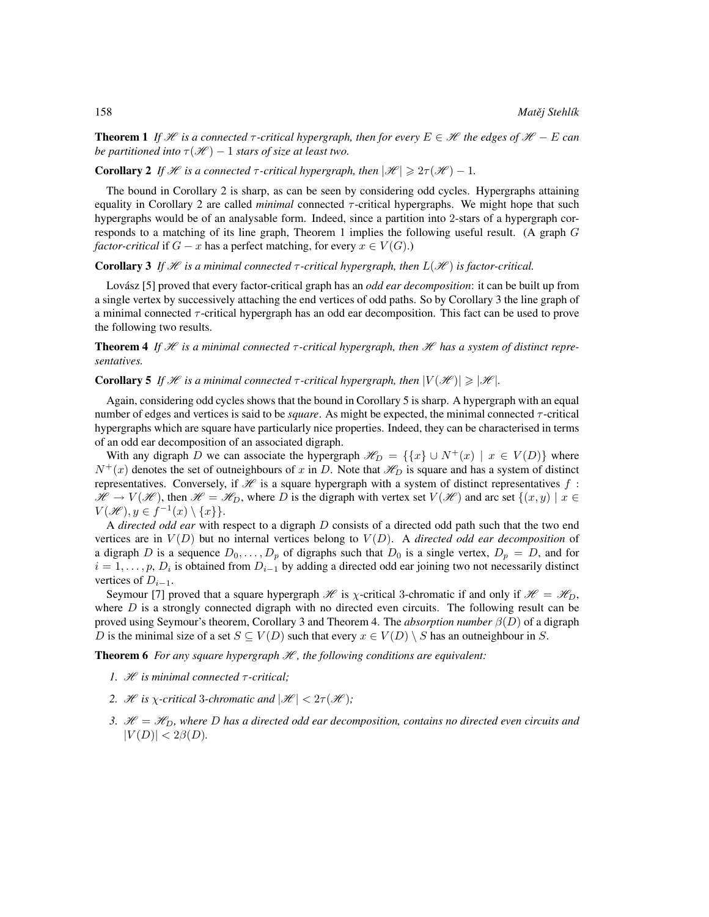**Theorem 1** If H is a connected  $\tau$ -critical hypergraph, then for every  $E \in \mathcal{H}$  the edges of  $\mathcal{H} - E$  can *be partitioned into*  $\tau(\mathcal{H}) - 1$  *stars of size at least two.* 

**Corollary 2** *If*  $\mathcal{H}$  *is a connected*  $\tau$ -critical hypergraph, then  $|\mathcal{H}| \geq 2\tau(\mathcal{H}) - 1$ .

The bound in Corollary 2 is sharp, as can be seen by considering odd cycles. Hypergraphs attaining equality in Corollary 2 are called *minimal* connected  $\tau$ -critical hypergraphs. We might hope that such hypergraphs would be of an analysable form. Indeed, since a partition into 2-stars of a hypergraph corresponds to a matching of its line graph, Theorem 1 implies the following useful result. (A graph G *factor-critical* if  $G - x$  has a perfect matching, for every  $x \in V(G)$ .)

#### **Corollary 3** If  $\mathcal{H}$  is a minimal connected  $\tau$ -critical hypergraph, then  $L(\mathcal{H})$  is factor-critical.

Lovász [5] proved that every factor-critical graph has an *odd ear decomposition*: it can be built up from a single vertex by successively attaching the end vertices of odd paths. So by Corollary 3 the line graph of a minimal connected  $\tau$ -critical hypergraph has an odd ear decomposition. This fact can be used to prove the following two results.

**Theorem 4** If  $\mathcal{H}$  is a minimal connected  $\tau$ -critical hypergraph, then  $\mathcal{H}$  has a system of distinct repre*sentatives.*

#### **Corollary 5** *If*  $\mathcal{H}$  *is a minimal connected*  $\tau$ -critical hypergraph, then  $|V(\mathcal{H})| \ge |\mathcal{H}|$ *.*

Again, considering odd cycles shows that the bound in Corollary 5 is sharp. A hypergraph with an equal number of edges and vertices is said to be *square*. As might be expected, the minimal connected *τ*-critical hypergraphs which are square have particularly nice properties. Indeed, they can be characterised in terms of an odd ear decomposition of an associated digraph.

With any digraph D we can associate the hypergraph  $\mathscr{H}_D = \{ \{x\} \cup N^+(x) \mid x \in V(D) \}$  where  $N^+(x)$  denotes the set of outneighbours of x in D. Note that  $\mathcal{H}_D$  is square and has a system of distinct representatives. Conversely, if  $\mathcal H$  is a square hypergraph with a system of distinct representatives  $f$ :  $\mathscr{H} \to V(\mathscr{H})$ , then  $\mathscr{H} = \mathscr{H}_D$ , where D is the digraph with vertex set  $V(\mathscr{H})$  and arc set  $\{(x, y) | x \in$  $V(\mathscr{H}), y \in f^{-1}(x) \setminus \{x\}$ .

A *directed odd ear* with respect to a digraph D consists of a directed odd path such that the two end vertices are in  $V(D)$  but no internal vertices belong to  $V(D)$ . A *directed odd ear decomposition* of a digraph D is a sequence  $D_0, \ldots, D_p$  of digraphs such that  $D_0$  is a single vertex,  $D_p = D$ , and for  $i = 1, \dots, p$ ,  $D_i$  is obtained from  $D_{i-1}$  by adding a directed odd ear joining two not necessarily distinct vertices of  $D_{i-1}$ .

Seymour [7] proved that a square hypergraph  $\mathcal{H}$  is  $\chi$ -critical 3-chromatic if and only if  $\mathcal{H} = \mathcal{H}_D$ , where  $D$  is a strongly connected digraph with no directed even circuits. The following result can be proved using Seymour's theorem, Corollary 3 and Theorem 4. The *absorption number* β(D) of a digraph D is the minimal size of a set  $S \subseteq V(D)$  such that every  $x \in V(D) \setminus S$  has an outneighbour in S.

**Theorem 6** *For any square hypergraph*  $H$ , the following conditions are equivalent:

- *1.* H *is minimal connected* τ *-critical;*
- 2. *H* is *χ*-critical 3-chromatic and  $|\mathcal{H}| < 2\tau(\mathcal{H})$ ;
- *3.*  $\mathcal{H} = \mathcal{H}_D$ , where D has a directed odd ear decomposition, contains no directed even circuits and  $|V(D)| < 2\beta(D)$ .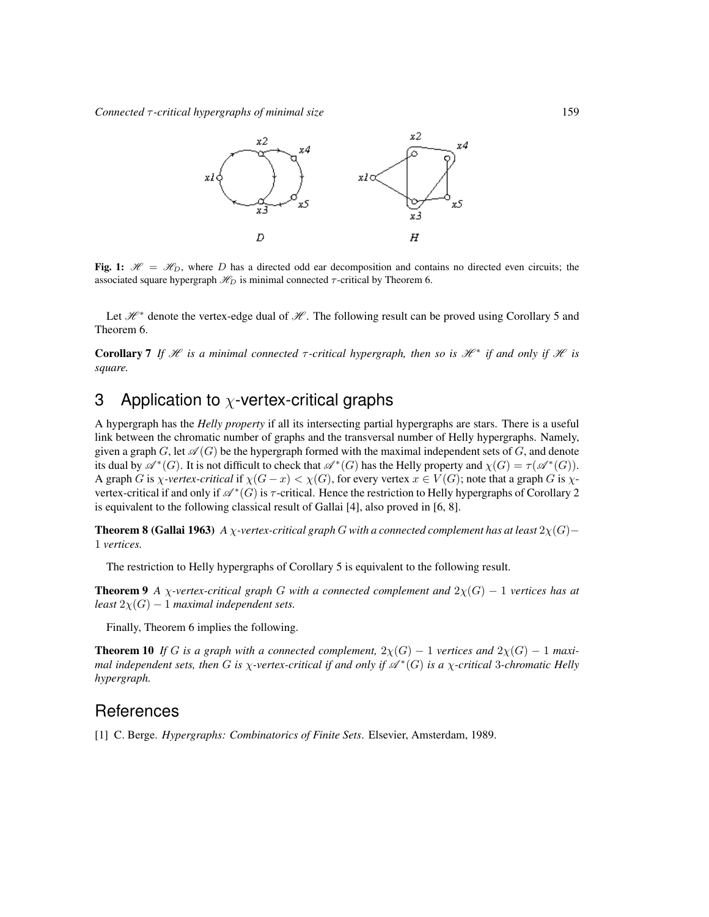*Connected* τ *-critical hypergraphs of minimal size* 159



Fig. 1:  $\mathcal{H} = \mathcal{H}_D$ , where D has a directed odd ear decomposition and contains no directed even circuits; the associated square hypergraph  $\mathcal{H}_D$  is minimal connected  $\tau$ -critical by Theorem 6.

Let  $\mathcal{H}^*$  denote the vertex-edge dual of  $\mathcal{H}$ . The following result can be proved using Corollary 5 and Theorem 6.

**Corollary 7** If  $\mathcal{H}$  is a minimal connected  $\tau$ -critical hypergraph, then so is  $\mathcal{H}^*$  if and only if  $\mathcal{H}$  is *square.*

# 3 Application to  $\chi$ -vertex-critical graphs

A hypergraph has the *Helly property* if all its intersecting partial hypergraphs are stars. There is a useful link between the chromatic number of graphs and the transversal number of Helly hypergraphs. Namely, given a graph  $G$ , let  $\mathscr{A}(G)$  be the hypergraph formed with the maximal independent sets of G, and denote its dual by  $\mathscr{A}^*(G)$ . It is not difficult to check that  $\mathscr{A}^*(G)$  has the Helly property and  $\chi(G) = \tau(\mathscr{A}^*(G))$ . A graph G is *χ*-vertex-critical if  $\chi(G - x) < \chi(G)$ , for every vertex  $x \in V(G)$ ; note that a graph G is  $\chi$ vertex-critical if and only if  $\mathscr{A}^*(G)$  is  $\tau$ -critical. Hence the restriction to Helly hypergraphs of Corollary 2 is equivalent to the following classical result of Gallai [4], also proved in [6, 8].

**Theorem 8 (Gallai 1963)** *A*  $\chi$ -vertex-critical graph G with a connected complement has at least  $2\chi(G)$ − 1 *vertices.*

The restriction to Helly hypergraphs of Corollary 5 is equivalent to the following result.

**Theorem 9** *A*  $\chi$ -vertex-critical graph G with a connected complement and  $2\chi(G) - 1$  vertices has at *least*  $2\chi(G) - 1$  *maximal independent sets.* 

Finally, Theorem 6 implies the following.

**Theorem 10** If G is a graph with a connected complement,  $2\chi(G) - 1$  vertices and  $2\chi(G) - 1$  maximal independent sets, then G is  $\chi$ -vertex-critical if and only if  $\mathscr{A}^*(G)$  is a  $\chi$ -critical 3-chromatic Helly *hypergraph.*

# **References**

[1] C. Berge. *Hypergraphs: Combinatorics of Finite Sets*. Elsevier, Amsterdam, 1989.